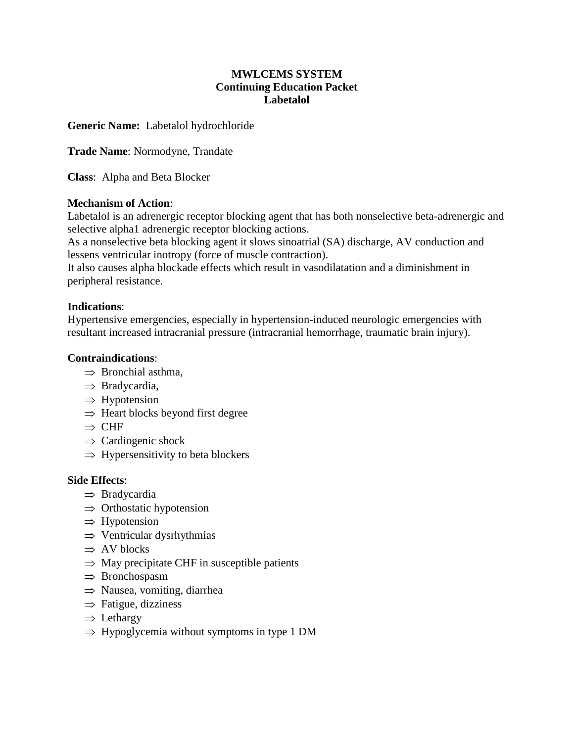# **MWLCEMS SYSTEM Continuing Education Packet Labetalol**

# **Generic Name:** Labetalol hydrochloride

**Trade Name**: Normodyne, Trandate

**Class**: Alpha and Beta Blocker

## **Mechanism of Action**:

Labetalol is an adrenergic receptor blocking agent that has both nonselective beta-adrenergic and selective alpha1 adrenergic receptor blocking actions.

As a nonselective beta blocking agent it slows sinoatrial (SA) discharge, AV conduction and lessens ventricular inotropy (force of muscle contraction).

It also causes alpha blockade effects which result in vasodilatation and a diminishment in peripheral resistance.

## **Indications**:

Hypertensive emergencies, especially in hypertension-induced neurologic emergencies with resultant increased intracranial pressure (intracranial hemorrhage, traumatic brain injury).

## **Contraindications**:

- $\Rightarrow$  Bronchial asthma.
- $\Rightarrow$  Bradycardia,
- $\Rightarrow$  Hypotension
- $\Rightarrow$  Heart blocks beyond first degree
- $\Rightarrow$  CHF
- $\Rightarrow$  Cardiogenic shock
- $\Rightarrow$  Hypersensitivity to beta blockers

#### **Side Effects**:

- ⇒ Bradycardia
- $\Rightarrow$  Orthostatic hypotension
- $\Rightarrow$  Hypotension
- $\Rightarrow$  Ventricular dysrhythmias
- $\Rightarrow$  AV blocks
- $\Rightarrow$  May precipitate CHF in susceptible patients
- ⇒ Bronchospasm
- $\Rightarrow$  Nausea, vomiting, diarrhea
- $\Rightarrow$  Fatigue, dizziness
- $\Rightarrow$  Lethargy
- $\Rightarrow$  Hypoglycemia without symptoms in type 1 DM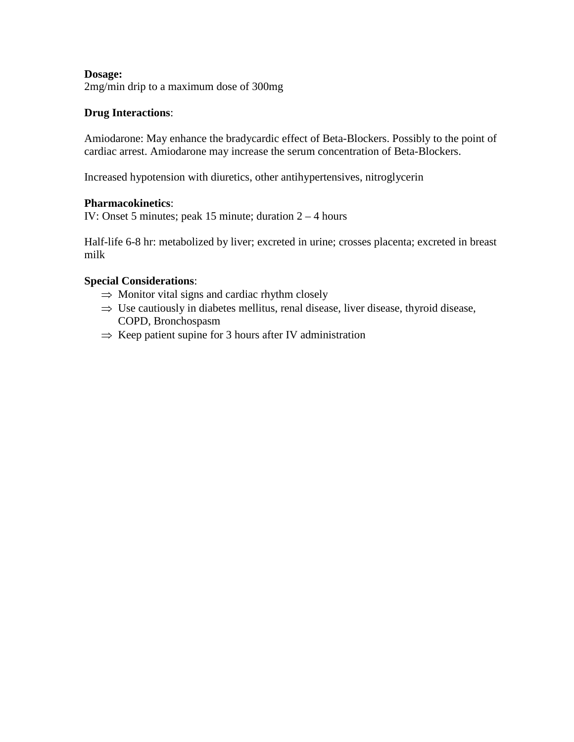## **Dosage:**

2mg/min drip to a maximum dose of 300mg

#### **Drug Interactions**:

Amiodarone: May enhance the bradycardic effect of Beta-Blockers. Possibly to the point of cardiac arrest. Amiodarone may increase the serum concentration of Beta-Blockers.

Increased hypotension with diuretics, other antihypertensives, nitroglycerin

#### **Pharmacokinetics**:

IV: Onset 5 minutes; peak 15 minute; duration 2 – 4 hours

Half-life 6-8 hr: metabolized by liver; excreted in urine; crosses placenta; excreted in breast milk

#### **Special Considerations**:

- $\Rightarrow$  Monitor vital signs and cardiac rhythm closely
- $\Rightarrow$  Use cautiously in diabetes mellitus, renal disease, liver disease, thyroid disease, COPD, Bronchospasm
- $\Rightarrow$  Keep patient supine for 3 hours after IV administration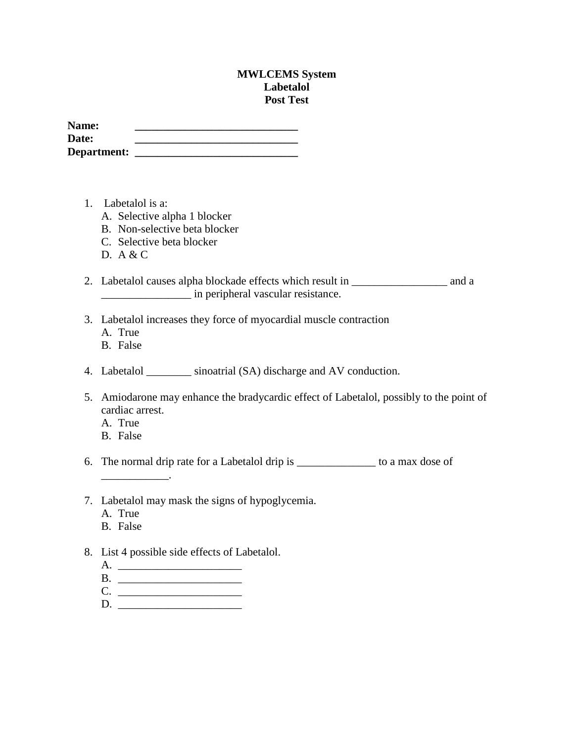#### **MWLCEMS System Labetalol Post Test**

| Name:       |  |
|-------------|--|
| Date:       |  |
| Department: |  |

- 1. Labetalol is a:
	- A. Selective alpha 1 blocker
	- B. Non-selective beta blocker
	- C. Selective beta blocker
	- D. A & C
- 2. Labetalol causes alpha blockade effects which result in \_\_\_\_\_\_\_\_\_\_\_\_\_\_\_\_\_ and a \_\_\_\_\_\_\_\_\_\_\_\_\_\_\_\_ in peripheral vascular resistance.
- 3. Labetalol increases they force of myocardial muscle contraction
	- A. True
	- B. False
- 4. Labetalol \_\_\_\_\_\_\_\_ sinoatrial (SA) discharge and AV conduction.
- 5. Amiodarone may enhance the bradycardic effect of Labetalol, possibly to the point of cardiac arrest.
	- A. True
	- B. False

6. The normal drip rate for a Labetalol drip is \_\_\_\_\_\_\_\_\_\_\_\_\_\_ to a max dose of

- 7. Labetalol may mask the signs of hypoglycemia.
	- A. True

 $\overline{\phantom{a}}$  . The set of the set of the set of the set of the set of the set of the set of the set of the set of the set of the set of the set of the set of the set of the set of the set of the set of the set of the set o

- B. False
- 8. List 4 possible side effects of Labetalol.
	- A. \_\_\_\_\_\_\_\_\_\_\_\_\_\_\_\_\_\_\_\_\_\_
	- B. \_\_\_\_\_\_\_\_\_\_\_\_\_\_\_\_\_\_\_\_\_\_
	- C. \_\_\_\_\_\_\_\_\_\_\_\_\_\_\_\_\_\_\_\_\_\_ D. \_\_\_\_\_\_\_\_\_\_\_\_\_\_\_\_\_\_\_\_\_\_